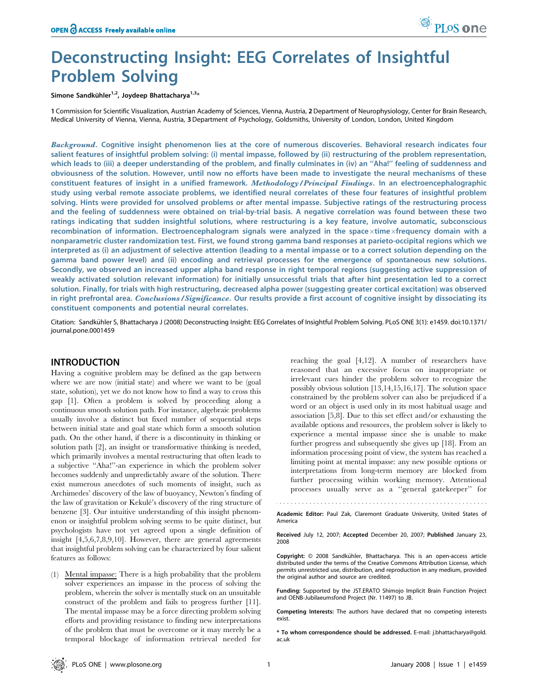# Deconstructing Insight: EEG Correlates of Insightful Problem Solving

Simone Sandkühler<sup>1,2</sup>, Joydeep Bhattacharya<sup>1,3\*</sup>

1 Commission for Scientific Visualization, Austrian Academy of Sciences, Vienna, Austria, 2Department of Neurophysiology, Center for Brain Research, Medical University of Vienna, Vienna, Austria, 3Department of Psychology, Goldsmiths, University of London, London, United Kingdom

Background. Cognitive insight phenomenon lies at the core of numerous discoveries. Behavioral research indicates four salient features of insightful problem solving: (i) mental impasse, followed by (ii) restructuring of the problem representation, which leads to (iii) a deeper understanding of the problem, and finally culminates in (iv) an ''Aha!'' feeling of suddenness and obviousness of the solution. However, until now no efforts have been made to investigate the neural mechanisms of these constituent features of insight in a unified framework. Methodology/Principal Findings. In an electroencephalographic study using verbal remote associate problems, we identified neural correlates of these four features of insightful problem solving. Hints were provided for unsolved problems or after mental impasse. Subjective ratings of the restructuring process and the feeling of suddenness were obtained on trial-by-trial basis. A negative correlation was found between these two ratings indicating that sudden insightful solutions, where restructuring is a key feature, involve automatic, subconscious recombination of information. Electroencephalogram signals were analyzed in the space $\times$ time $\times$ freguency domain with a nonparametric cluster randomization test. First, we found strong gamma band responses at parieto-occipital regions which we interpreted as (i) an adjustment of selective attention (leading to a mental impasse or to a correct solution depending on the gamma band power level) and (ii) encoding and retrieval processes for the emergence of spontaneous new solutions. Secondly, we observed an increased upper alpha band response in right temporal regions (suggesting active suppression of weakly activated solution relevant information) for initially unsuccessful trials that after hint presentation led to a correct solution. Finally, for trials with high restructuring, decreased alpha power (suggesting greater cortical excitation) was observed in right prefrontal area. Conclusions/Significance. Our results provide a first account of cognitive insight by dissociating its constituent components and potential neural correlates.

Citation: Sandkühler S, Bhattacharya J (2008) Deconstructing Insight: EEG Correlates of Insightful Problem Solving. PLoS ONE 3(1): e1459. doi:10.1371/ journal.pone.0001459

# INTRODUCTION

Having a cognitive problem may be defined as the gap between where we are now (initial state) and where we want to be (goal state, solution), yet we do not know how to find a way to cross this gap [1]. Often a problem is solved by proceeding along a continuous smooth solution path. For instance, algebraic problems usually involve a distinct but fixed number of sequential steps between initial state and goal state which form a smooth solution path. On the other hand, if there is a discontinuity in thinking or solution path [2], an insight or transformative thinking is needed, which primarily involves a mental restructuring that often leads to a subjective ''Aha!''-an experience in which the problem solver becomes suddenly and unpredictably aware of the solution. There exist numerous anecdotes of such moments of insight, such as Archimedes' discovery of the law of buoyancy, Newton's finding of the law of gravitation or Kekule´'s discovery of the ring structure of benzene [3]. Our intuitive understanding of this insight phenomenon or insightful problem solving seems to be quite distinct, but psychologists have not yet agreed upon a single definition of insight [4,5,6,7,8,9,10]. However, there are general agreements that insightful problem solving can be characterized by four salient features as follows:

(1) Mental impasse: There is a high probability that the problem solver experiences an impasse in the process of solving the problem, wherein the solver is mentally stuck on an unsuitable construct of the problem and fails to progress further [11]. The mental impasse may be a force directing problem solving efforts and providing resistance to finding new interpretations of the problem that must be overcome or it may merely be a temporal blockage of information retrieval needed for

reaching the goal [4,12]. A number of researchers have reasoned that an excessive focus on inappropriate or irrelevant cues hinder the problem solver to recognize the possibly obvious solution [13,14,15,16,17]. The solution space constrained by the problem solver can also be prejudiced if a word or an object is used only in its most habitual usage and association [5,8]. Due to this set effect and/or exhausting the available options and resources, the problem solver is likely to experience a mental impasse since she is unable to make further progress and subsequently she gives up [18]. From an information processing point of view, the system has reached a limiting point at mental impasse: any new possible options or interpretations from long-term memory are blocked from further processing within working memory. Attentional processes usually serve as a ''general gatekeeper'' for

Academic Editor: Paul Zak, Claremont Graduate University, United States of America

Received July 12, 2007; Accepted December 20, 2007; Published January 23, 2008

Copyright: © 2008 Sandkühler, Bhattacharya. This is an open-access article distributed under the terms of the Creative Commons Attribution License, which permits unrestricted use, distribution, and reproduction in any medium, provided the original author and source are credited.

Funding: Supported by the JST.ERATO Shimojo Implicit Brain Function Project and OENB-Jubilaeumsfond Project (Nr. 11497) to JB.

Competing Interests: The authors have declared that no competing interests exist.

\* To whom correspondence should be addressed. E-mail: j.bhattacharya@gold. ac.uk

PLoS one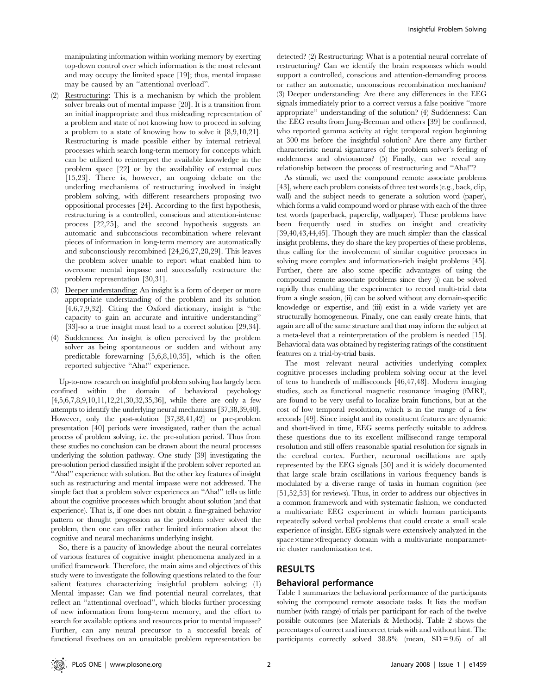manipulating information within working memory by exerting top-down control over which information is the most relevant and may occupy the limited space [19]; thus, mental impasse may be caused by an ''attentional overload''.

- (2) Restructuring: This is a mechanism by which the problem solver breaks out of mental impasse [20]. It is a transition from an initial inappropriate and thus misleading representation of a problem and state of not knowing how to proceed in solving a problem to a state of knowing how to solve it [8,9,10,21]. Restructuring is made possible either by internal retrieval processes which search long-term memory for concepts which can be utilized to reinterpret the available knowledge in the problem space [22] or by the availability of external cues [15,23]. There is, however, an ongoing debate on the underling mechanisms of restructuring involved in insight problem solving, with different researchers proposing two oppositional processes [24]. According to the first hypothesis, restructuring is a controlled, conscious and attention-intense process [22,25], and the second hypothesis suggests an automatic and subconscious recombination where relevant pieces of information in long-term memory are automatically and subconsciously recombined [24,26,27,28,29]. This leaves the problem solver unable to report what enabled him to overcome mental impasse and successfully restructure the problem representation [30,31].
- Deeper understanding: An insight is a form of deeper or more appropriate understanding of the problem and its solution [4,6,7,9,32]. Citing the Oxford dictionary, insight is ''the capacity to gain an accurate and intuitive understanding'' [33]-so a true insight must lead to a correct solution [29,34].
- (4) Suddenness: An insight is often perceived by the problem solver as being spontaneous or sudden and without any predictable forewarning [5,6,8,10,35], which is the often reported subjective ''Aha!'' experience.

Up-to-now research on insightful problem solving has largely been confined within the domain of behavioral psychology [4,5,6,7,8,9,10,11,12,21,30,32,35,36], while there are only a few attempts to identify the underlying neural mechanisms [37,38,39,40]. However, only the post-solution [37,38,41,42] or pre-problem presentation [40] periods were investigated, rather than the actual process of problem solving, i.e. the pre-solution period. Thus from these studies no conclusion can be drawn about the neural processes underlying the solution pathway. One study [39] investigating the pre-solution period classified insight if the problem solver reported an ''Aha!'' experience with solution. But the other key features of insight such as restructuring and mental impasse were not addressed. The simple fact that a problem solver experiences an ''Aha!'' tells us little about the cognitive processes which brought about solution (and that experience). That is, if one does not obtain a fine-grained behavior pattern or thought progression as the problem solver solved the problem, then one can offer rather limited information about the cognitive and neural mechanisms underlying insight.

So, there is a paucity of knowledge about the neural correlates of various features of cognitive insight phenomena analyzed in a unified framework. Therefore, the main aims and objectives of this study were to investigate the following questions related to the four salient features characterizing insightful problem solving: (1) Mental impasse: Can we find potential neural correlates, that reflect an ''attentional overload'', which blocks further processing of new information from long-term memory, and the effort to search for available options and resources prior to mental impasse? Further, can any neural precursor to a successful break of functional fixedness on an unsuitable problem representation be

detected? (2) Restructuring: What is a potential neural correlate of restructuring? Can we identify the brain responses which would support a controlled, conscious and attention-demanding process or rather an automatic, unconscious recombination mechanism? (3) Deeper understanding: Are there any differences in the EEG signals immediately prior to a correct versus a false positive ''more appropriate'' understanding of the solution? (4) Suddenness: Can the EEG results from Jung-Beeman and others [39] be confirmed, who reported gamma activity at right temporal region beginning at 300 ms before the insightful solution? Are there any further characteristic neural signatures of the problem solver's feeling of suddenness and obviousness? (5) Finally, can we reveal any relationship between the process of restructuring and ''Aha!''?

As stimuli, we used the compound remote associate problems [43], where each problem consists of three test words (e.g., back, clip, wall) and the subject needs to generate a solution word (paper), which forms a valid compound word or phrase with each of the three test words (paperback, paperclip, wallpaper). These problems have been frequently used in studies on insight and creativity [39,40,43,44,45]. Though they are much simpler than the classical insight problems, they do share the key properties of these problems, thus calling for the involvement of similar cognitive processes in solving more complex and information-rich insight problems [45]. Further, there are also some specific advantages of using the compound remote associate problems since they (i) can be solved rapidly thus enabling the experimenter to record multi-trial data from a single session, (ii) can be solved without any domain-specific knowledge or expertise, and (iii) exist in a wide variety yet are structurally homogeneous. Finally, one can easily create hints, that again are all of the same structure and that may inform the subject at a meta-level that a reinterpretation of the problem is needed [15]. Behavioral data was obtained by registering ratings of the constituent features on a trial-by-trial basis.

The most relevant neural activities underlying complex cognitive processes including problem solving occur at the level of tens to hundreds of milliseconds [46,47,48]. Modern imaging studies, such as functional magnetic resonance imaging (fMRI), are found to be very useful to localize brain functions, but at the cost of low temporal resolution, which is in the range of a few seconds [49]. Since insight and its constituent features are dynamic and short-lived in time, EEG seems perfectly suitable to address these questions due to its excellent millisecond range temporal resolution and still offers reasonable spatial resolution for signals in the cerebral cortex. Further, neuronal oscillations are aptly represented by the EEG signals [50] and it is widely documented that large scale brain oscillations in various frequency bands is modulated by a diverse range of tasks in human cognition (see [51,52,53] for reviews). Thus, in order to address our objectives in a common framework and with systematic fashion, we conducted a multivariate EEG experiment in which human participants repeatedly solved verbal problems that could create a small scale experience of insight. EEG signals were extensively analyzed in the space×time×frequency domain with a multivariate nonparametric cluster randomization test.

# RESULTS

# Behavioral performance

Table 1 summarizes the behavioral performance of the participants solving the compound remote associate tasks. It lists the median number (with range) of trials per participant for each of the twelve possible outcomes (see Materials & Methods). Table 2 shows the percentages of correct and incorrect trials with and without hint. The participants correctly solved  $38.8\%$  (mean, SD = 9.6) of all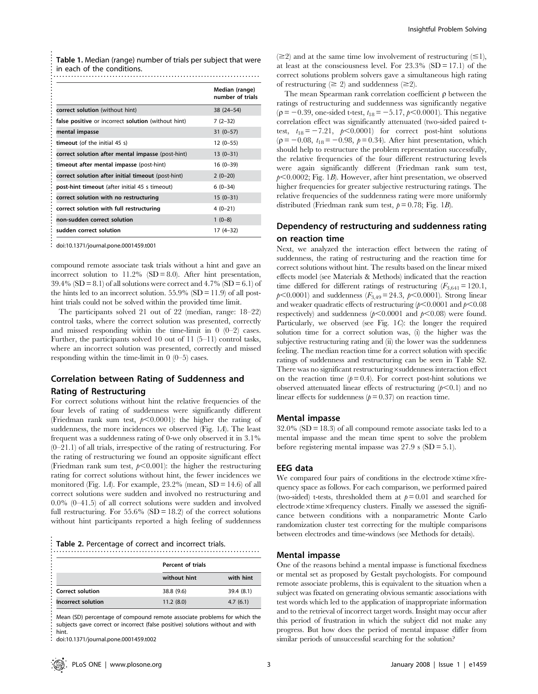| <b>Table 1.</b> Median (range) number of trials per subject that were<br>in each of the conditions. |                                    |  |  |  |
|-----------------------------------------------------------------------------------------------------|------------------------------------|--|--|--|
|                                                                                                     | Median (range)<br>number of trials |  |  |  |
| correct solution (without hint)                                                                     | $38(24-54)$                        |  |  |  |
| false positive or incorrect solution (without hint)                                                 | $7(2-32)$                          |  |  |  |
| mental impasse                                                                                      | $31(0-57)$                         |  |  |  |
| timeout (of the initial 45 s)                                                                       | $12(0-55)$                         |  |  |  |
| correct solution after mental impasse (post-hint)                                                   | $13(0-31)$                         |  |  |  |
| timeout after mental impasse (post-hint)                                                            | $16(0-39)$                         |  |  |  |
| correct solution after initial timeout (post-hint)                                                  | $2(0-20)$                          |  |  |  |
| post-hint timeout (after initial 45 s timeout)                                                      | $6(0-34)$                          |  |  |  |
| correct solution with no restructuring                                                              | $15(0-31)$                         |  |  |  |
| correct solution with full restructuring                                                            | $4(0-21)$                          |  |  |  |
| non-sudden correct solution                                                                         | $1(0-8)$                           |  |  |  |
| sudden correct solution                                                                             | $17(4-32)$                         |  |  |  |

doi:10.1371/journal.pone.0001459.t001

compound remote associate task trials without a hint and gave an incorrect solution to  $11.2\%$  (SD = 8.0). After hint presentation,  $39.4\%$  (SD = 8.1) of all solutions were correct and  $4.7\%$  (SD = 6.1) of the hints led to an incorrect solution.  $55.9\%$  (SD = 11.9) of all posthint trials could not be solved within the provided time limit.

The participants solved 21 out of 22 (median, range: 18–22) control tasks, where the correct solution was presented, correctly and missed responding within the time-limit in  $0$  (0–2) cases. Further, the participants solved 10 out of 11 (5–11) control tasks, where an incorrect solution was presented, correctly and missed responding within the time-limit in  $0$  (0–5) cases.

# Correlation between Rating of Suddenness and Rating of Restructuring

For correct solutions without hint the relative frequencies of the four levels of rating of suddenness were significantly different (Friedman rank sum test,  $p<0.0001$ ): the higher the rating of suddenness, the more incidences we observed (Fig. 1A). The least frequent was a suddenness rating of 0-we only observed it in 3.1%  $(0-21.1)$  of all trials, irrespective of the rating of restructuring. For the rating of restructuring we found an opposite significant effect (Friedman rank sum test,  $p<0.001$ ): the higher the restructuring rating for correct solutions without hint, the fewer incidences we monitored (Fig. 1A). For example,  $23.2\%$  (mean, SD = 14.6) of all correct solutions were sudden and involved no restructuring and 0.0% (0–41.5) of all correct solutions were sudden and involved full restructuring. For  $55.6\%$  (SD = 18.2) of the correct solutions without hint participants reported a high feeling of suddenness

|  | Table 2. Percentage of correct and incorrect trials. |  |
|--|------------------------------------------------------|--|
|  |                                                      |  |

|                         | <b>Percent of trials</b> |            |  |
|-------------------------|--------------------------|------------|--|
|                         | without hint             | with hint  |  |
| <b>Correct solution</b> | 38.8 (9.6)               | 39.4 (8.1) |  |
| Incorrect solution      | 11.2(8.0)                | 4.7(6.1)   |  |

Mean (SD) percentage of compound remote associate problems for which the subjects gave correct or incorrect (false positive) solutions without and with hint.

doi:10.1371/journal.pone.0001459.t002

....................................

 $(\geq 2)$  and at the same time low involvement of restructuring  $(\leq 1)$ , at least at the consciousness level. For  $23.3\%$  (SD = 17.1) of the correct solutions problem solvers gave a simultaneous high rating of restructuring  $(\geq 2)$  and suddenness  $(\geq 2)$ .

The mean Spearman rank correlation coefficient  $\rho$  between the ratings of restructuring and suddenness was significantly negative  $(\rho = -0.39, \text{ one-sided t-test}, t_{18} = -5.17, \rho < 0.0001)$ . This negative correlation effect was significantly attenuated (two-sided paired ttest,  $t_{18} = -7.21$ ,  $p < 0.0001$ ) for correct post-hint solutions ( $p = -0.08$ ,  $t_{18} = -0.98$ ,  $p = 0.34$ ). After hint presentation, which should help to restructure the problem representation successfully, the relative frequencies of the four different restructuring levels were again significantly different (Friedman rank sum test,  $p<0.0002$ ; Fig. 1B). However, after hint presentation, we observed higher frequencies for greater subjective restructuring ratings. The relative frequencies of the suddenness rating were more uniformly distributed (Friedman rank sum test,  $p = 0.78$ ; Fig. 1B).

# Dependency of restructuring and suddenness rating on reaction time

Next, we analyzed the interaction effect between the rating of suddenness, the rating of restructuring and the reaction time for correct solutions without hint. The results based on the linear mixed effects model (see Materials & Methods) indicated that the reaction time differed for different ratings of restructuring  $(F_{3,641} = 120.1,$  $p<0.0001$ ) and suddenness  $(F_{3,49}= 24.3, p<0.0001)$ . Strong linear and weaker quadratic effects of restructuring  $(p<0.0001$  and  $p<0.08$ respectively) and suddenness  $(p<0.0001$  and  $p<0.08$ ) were found. Particularly, we observed (see Fig. 1C): the longer the required solution time for a correct solution was, (i) the higher was the subjective restructuring rating and (ii) the lower was the suddenness feeling. The median reaction time for a correct solution with specific ratings of suddenness and restructuring can be seen in Table S2. There was no significant restructuring $\times$ suddenness interaction effect on the reaction time  $(p= 0.4)$ . For correct post-hint solutions we observed attenuated linear effects of restructuring  $(p<0.1)$  and no linear effects for suddenness ( $p = 0.37$ ) on reaction time.

#### Mental impasse

 $32.0\%$  (SD = 18.3) of all compound remote associate tasks led to a mental impasse and the mean time spent to solve the problem before registering mental impasse was  $27.9$  s  $(SD = 5.1)$ .

#### EEG data

We compared four pairs of conditions in the electrode $\times$ time $\times$ frequency space as follows. For each comparison, we performed paired (two-sided) t-tests, thresholded them at  $p = 0.01$  and searched for  $electrode\times time\times frequency clusters. Finally we assessed the signifi$ cance between conditions with a nonparametric Monte Carlo randomization cluster test correcting for the multiple comparisons between electrodes and time-windows (see Methods for details).

#### Mental impasse

One of the reasons behind a mental impasse is functional fixedness or mental set as proposed by Gestalt psychologists. For compound remote associate problems, this is equivalent to the situation when a subject was fixated on generating obvious semantic associations with test words which led to the application of inappropriate information and to the retrieval of incorrect target words. Insight may occur after this period of frustration in which the subject did not make any progress. But how does the period of mental impasse differ from similar periods of unsuccessful searching for the solution?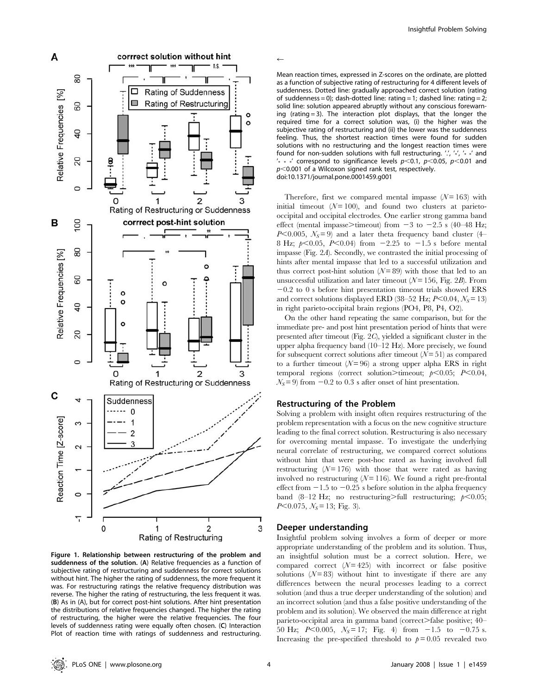

Figure 1. Relationship between restructuring of the problem and suddenness of the solution. (A) Relative frequencies as a function of subjective rating of restructuring and suddenness for correct solutions without hint. The higher the rating of suddenness, the more frequent it was. For restructuring ratings the relative frequency distribution was reverse. The higher the rating of restructuring, the less frequent it was. (B) As in (A), but for correct post-hint solutions. After hint presentation the distributions of relative frequencies changed. The higher the rating of restructuring, the higher were the relative frequencies. The four levels of suddenness rating were equally often chosen. (C) Interaction Plot of reaction time with ratings of suddenness and restructuring.

*r*

Mean reaction times, expressed in Z-scores on the ordinate, are plotted as a function of subjective rating of restructuring for 4 different levels of suddenness. Dotted line: gradually approached correct solution (rating of suddenness = 0); dash-dotted line: rating = 1; dashed line: rating = 2; solid line: solution appeared abruptly without any conscious forewarning (rating = 3). The interaction plot displays, that the longer the required time for a correct solution was, (i) the higher was the subjective rating of restructuring and (ii) the lower was the suddenness feeling. Thus, the shortest reaction times were found for sudden solutions with no restructuring and the longest reaction times were found for non-sudden solutions with full restructuring. '.', '\*', '\* \*' and '\* \* \*' correspond to significance levels  $p<0.1$ ,  $p<0.05$ ,  $p<0.01$  and  $p$ <0.001 of a Wilcoxon signed rank test, respectively. doi:10.1371/journal.pone.0001459.g001

Therefore, first we compared mental impasse  $(N = 163)$  with initial timeout  $(N=100)$ , and found two clusters at parietooccipital and occipital electrodes. One earlier strong gamma band effect (mental impasse>timeout) from  $-3$  to  $-2.5$  s (40–48 Hz; P<0.005,  $N_s = 9$ ) and a later theta frequency band cluster (4– 8 Hz;  $p<0.05$ ,  $P<0.04$ ) from  $-2.25$  to  $-1.5$  s before mental impasse (Fig. 2A). Secondly, we contrasted the initial processing of hints after mental impasse that led to a successful utilization and thus correct post-hint solution  $(N = 89)$  with those that led to an unsuccessful utilization and later timeout  $(N=156,$  Fig. 2B). From  $-0.2$  to 0 s before hint presentation timeout trials showed ERS and correct solutions displayed ERD (38–52 Hz;  $P<0.04$ ,  $N<sub>S</sub>=13$ ) in right parieto-occipital brain regions (PO4, P8, P4, O2).

On the other hand repeating the same comparison, but for the immediate pre- and post hint presentation period of hints that were presented after timeout (Fig. 2C), yielded a significant cluster in the upper alpha frequency band (10–12 Hz). More precisely, we found for subsequent correct solutions after timeout  $(N=51)$  as compared to a further timeout  $(N=96)$  a strong upper alpha ERS in right temporal regions (correct solution>timeout;  $p<0.05$ ; P<0.04,  $N<sub>S</sub> = 9$ ) from  $-0.2$  to 0.3 s after onset of hint presentation.

## Restructuring of the Problem

Solving a problem with insight often requires restructuring of the problem representation with a focus on the new cognitive structure leading to the final correct solution. Restructuring is also necessary for overcoming mental impasse. To investigate the underlying neural correlate of restructuring, we compared correct solutions without hint that were post-hoc rated as having involved full restructuring  $(N=176)$  with those that were rated as having involved no restructuring  $(N=116)$ . We found a right pre-frontal effect from  $-1.5$  to  $-0.25$  s before solution in the alpha frequency band (8–12 Hz; no restructuring>full restructuring;  $p<0.05$ ;  $P<0.075$ ,  $N_s=13$ ; Fig. 3).

#### Deeper understanding

Insightful problem solving involves a form of deeper or more appropriate understanding of the problem and its solution. Thus, an insightful solution must be a correct solution. Here, we compared correct  $(N = 425)$  with incorrect or false positive solutions  $(N = 83)$  without hint to investigate if there are any differences between the neural processes leading to a correct solution (and thus a true deeper understanding of the solution) and an incorrect solution (and thus a false positive understanding of the problem and its solution). We observed the main difference at right parieto-occipital area in gamma band (correct.) false positive;  $40-$ 50 Hz; P $< 0.005$ ,  $N_s = 17$ ; Fig. 4) from  $-1.5$  to  $-0.75$  s. Increasing the pre-specified threshold to  $p = 0.05$  revealed two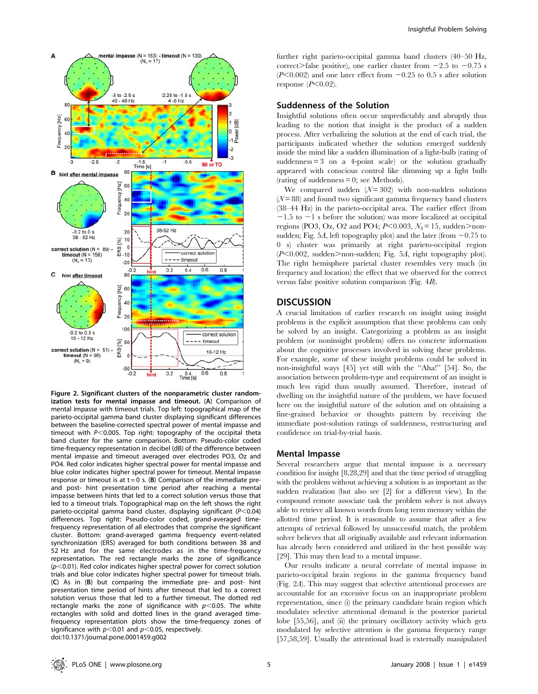

Figure 2. Significant clusters of the nonparametric cluster randomization tests for mental impasse and timeout. (A) Comparison of mental impasse with timeout trials. Top left: topographical map of the parieto-occipital gamma band cluster displaying significant differences between the baseline-corrected spectral power of mental impasse and timeout with  $P<0.005$ . Top right: topography of the occipital theta band cluster for the same comparison. Bottom: Pseudo-color coded time-frequency representation in decibel (dB) of the difference between mental impasse and timeout averaged over electrodes PO3, Oz and PO4. Red color indicates higher spectral power for mental impasse and blue color indicates higher spectral power for timeout. Mental impasse response or timeout is at  $t = 0$  s. (B) Comparison of the immediate preand post- hint presentation time period after reaching a mental impasse between hints that led to a correct solution versus those that led to a timeout trials. Topographical map on the left shows the right parieto-occipital gamma band cluster, displaying significant ( $P < 0.04$ ) differences. Top right: Pseudo-color coded, grand-averaged timefrequency representation of all electrodes that comprise the significant cluster. Bottom: grand-averaged gamma frequency event-related synchronization (ERS) averaged for both conditions between 38 and 52 Hz and for the same electrodes as in the time-frequency representation. The red rectangle marks the zone of significance  $(p<0.01)$ . Red color indicates higher spectral power for correct solution trials and blue color indicates higher spectral power for timeout trials. (C) As in (B) but comparing the immediate pre- and post- hint presentation time period of hints after timeout that led to a correct solution versus those that led to a further timeout. The dotted red rectangle marks the zone of significance with  $p$ <0.05. The white rectangles with solid and dotted lines in the grand averaged timefrequency representation plots show the time-frequency zones of significance with  $p<0.01$  and  $p<0.05$ , respectively. doi:10.1371/journal.pone.0001459.g002

further right parieto-occipital gamma band clusters (40–50 Hz, correct>false positive), one earlier cluster from  $-2.5$  to  $-0.75$  s  $(P<0.002)$  and one later effect from  $-0.25$  to 0.5 s after solution response  $(P<0.02)$ .

# Suddenness of the Solution

Insightful solutions often occur unpredictably and abruptly thus leading to the notion that insight is the product of a sudden process. After verbalizing the solution at the end of each trial, the participants indicated whether the solution emerged suddenly inside the mind like a sudden illumination of a light-bulb (rating of suddenness  $= 3$  on a 4-point scale) or the solution gradually appeared with conscious control like dimming up a light bulb (rating of suddenness  $= 0$ ; see Methods).

We compared sudden  $(N=302)$  with non-sudden solutions  $(N = 88)$  and found two significant gamma frequency band clusters (38–44 Hz) in the parieto-occipital area. The earlier effect (from  $-1.5$  to  $-1$  s before the solution) was more localized at occipital regions (PO3, Oz, O2 and PO4;  $P<0.003$ ,  $N_s=15$ , sudden $>$ nonsudden; Fig. 5A, left topography plot) and the later (from  $-0.75$  to 0 s) cluster was primarily at right parieto-occipital region  $(P<0.002$ , sudden>non-sudden; Fig. 5A, right topography plot). The right hemisphere parietal cluster resembles very much (in frequency and location) the effect that we observed for the correct versus false positive solution comparison (Fig. 4B).

## **DISCUSSION**

A crucial limitation of earlier research on insight using insight problems is the explicit assumption that these problems can only be solved by an insight. Categorizing a problem as an insight problem (or noninsight problem) offers no concrete information about the cognitive processes involved in solving these problems. For example, some of these insight problems could be solved in non-insightful ways [45] yet still with the ''Aha!'' [54]. So, the association between problem-type and requirement of an insight is much less rigid than usually assumed. Therefore, instead of dwelling on the insightful nature of the problem, we have focused here on the insightful nature of the solution and on obtaining a fine-grained behavior or thoughts pattern by receiving the immediate post-solution ratings of suddenness, restructuring and confidence on trial-by-trial basis.

#### Mental Impasse

Several researchers argue that mental impasse is a necessary condition for insight [8,28,29] and that the time period of struggling with the problem without achieving a solution is as important as the sudden realization (but also see [2] for a different view). In the compound remote associate task the problem solver is not always able to retrieve all known words from long term memory within the allotted time period. It is reasonable to assume that after a few attempts of retrieval followed by unsuccessful match, the problem solver believes that all originally available and relevant information has already been considered and utilized in the best possible way [29]. This may then lead to a mental impasse.

Our results indicate a neural correlate of mental impasse in parieto-occipital brain regions in the gamma frequency band (Fig. 2A). This may suggest that selective attentional processes are accountable for an excessive focus on an inappropriate problem representation, since (i) the primary candidate brain region which modulates selective attentional demand is the posterior parietal lobe [55,56], and (ii) the primary oscillatory activity which gets modulated by selective attention is the gamma frequency range [57,58,59]. Usually the attentional load is externally manipulated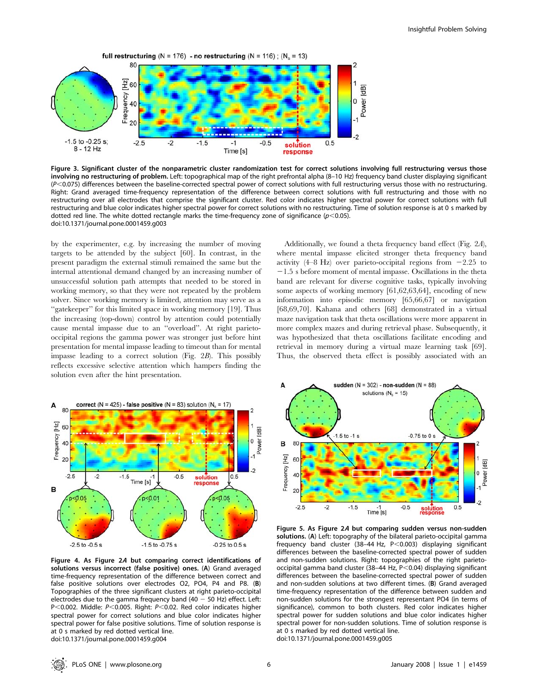

Figure 3. Significant cluster of the nonparametric cluster randomization test for correct solutions involving full restructuring versus those involving no restructuring of problem. Left: topographical map of the right prefrontal alpha (8–10 Hz) frequency band cluster displaying significant  $(P<0.075)$  differences between the baseline-corrected spectral power of correct solutions with full restructuring versus those with no restructuring. Right: Grand averaged time-frequency representation of the difference between correct solutions with full restructuring and those with no restructuring over all electrodes that comprise the significant cluster. Red color indicates higher spectral power for correct solutions with full restructuring and blue color indicates higher spectral power for correct solutions with no restructuring. Time of solution response is at 0 s marked by dotted red line. The white dotted rectangle marks the time-frequency zone of significance ( $p$ <0.05). doi:10.1371/journal.pone.0001459.g003

by the experimenter, e.g. by increasing the number of moving targets to be attended by the subject [60]. In contrast, in the present paradigm the external stimuli remained the same but the internal attentional demand changed by an increasing number of unsuccessful solution path attempts that needed to be stored in working memory, so that they were not repeated by the problem solver. Since working memory is limited, attention may serve as a ''gatekeeper'' for this limited space in working memory [19]. Thus the increasing (top-down) control by attention could potentially cause mental impasse due to an ''overload''. At right parietooccipital regions the gamma power was stronger just before hint presentation for mental impasse leading to timeout than for mental impasse leading to a correct solution (Fig. 2B). This possibly reflects excessive selective attention which hampers finding the solution even after the hint presentation.

Additionally, we found a theta frequency band effect (Fig. 2A), where mental impasse elicited stronger theta frequency band activity  $(4-8 \text{ Hz})$  over parieto-occipital regions from  $-2.25$  to  $-1.5$  s before moment of mental impasse. Oscillations in the theta band are relevant for diverse cognitive tasks, typically involving some aspects of working memory [61,62,63,64], encoding of new information into episodic memory [65,66,67] or navigation [68,69,70]. Kahana and others [68] demonstrated in a virtual maze navigation task that theta oscillations were more apparent in more complex mazes and during retrieval phase. Subsequently, it was hypothesized that theta oscillations facilitate encoding and retrieval in memory during a virtual maze learning task [69]. Thus, the observed theta effect is possibly associated with an



Figure 4. As Figure 2<sup>A</sup> but comparing correct identifications of solutions versus incorrect (false positive) ones. (A) Grand averaged time-frequency representation of the difference between correct and false positive solutions over electrodes O2, PO4, P4 and P8. (B) Topographies of the three significant clusters at right parieto-occipital electrodes due to the gamma frequency band (40  $-$  50 Hz) effect. Left: P<0.002. Middle:  $P<0.005$ . Right:  $P<0.02$ . Red color indicates higher spectral power for correct solutions and blue color indicates higher spectral power for false positive solutions. Time of solution response is at 0 s marked by red dotted vertical line. doi:10.1371/journal.pone.0001459.g004

sudden ( $N = 302$ ) - non-sudden ( $N = 88$ ) Α solutions ( $N<sub>s</sub> = 15$ )  $-0.75$  to 0 s  $-1.5$  to  $-1$  s в 80 Frequency [Hz] 60 [dB] Power  $\overline{0}$  $40$  $20$  $\overline{2}$  $-2.5$  $-2$  $-1.5$  $-0.5$  $0.5$  $Time [s]$ solution<br>response

Figure 5. As Figure 2<sup>A</sup> but comparing sudden versus non-sudden solutions. (A) Left: topography of the bilateral parieto-occipital gamma frequency band cluster (38-44 Hz,  $P < 0.003$ ) displaying significant differences between the baseline-corrected spectral power of sudden and non-sudden solutions. Right: topographies of the right parietooccipital gamma band cluster (38-44 Hz,  $P<0.04$ ) displaying significant differences between the baseline-corrected spectral power of sudden and non-sudden solutions at two different times. (B) Grand averaged time-frequency representation of the difference between sudden and non-sudden solutions for the strongest representant PO4 (in terms of significance), common to both clusters. Red color indicates higher spectral power for sudden solutions and blue color indicates higher spectral power for non-sudden solutions. Time of solution response is at 0 s marked by red dotted vertical line. doi:10.1371/journal.pone.0001459.g005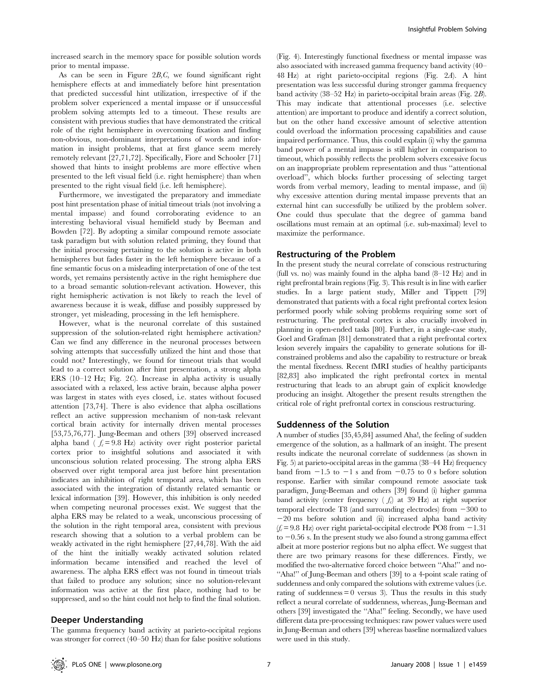increased search in the memory space for possible solution words prior to mental impasse.

As can be seen in Figure  $2B,C$ , we found significant right hemisphere effects at and immediately before hint presentation that predicted successful hint utilization, irrespective of if the problem solver experienced a mental impasse or if unsuccessful problem solving attempts led to a timeout. These results are consistent with previous studies that have demonstrated the critical role of the right hemisphere in overcoming fixation and finding non-obvious, non-dominant interpretations of words and information in insight problems, that at first glance seem merely remotely relevant [27,71,72]. Specifically, Fiore and Schooler [71] showed that hints to insight problems are more effective when presented to the left visual field (i.e. right hemisphere) than when presented to the right visual field (i.e. left hemisphere).

Furthermore, we investigated the preparatory and immediate post hint presentation phase of initial timeout trials (not involving a mental impasse) and found corroborating evidence to an interesting behavioral visual hemifield study by Beeman and Bowden [72]. By adopting a similar compound remote associate task paradigm but with solution related priming, they found that the initial processing pertaining to the solution is active in both hemispheres but fades faster in the left hemisphere because of a fine semantic focus on a misleading interpretation of one of the test words, yet remains persistently active in the right hemisphere due to a broad semantic solution-relevant activation. However, this right hemispheric activation is not likely to reach the level of awareness because it is weak, diffuse and possibly suppressed by stronger, yet misleading, processing in the left hemisphere.

However, what is the neuronal correlate of this sustained suppression of the solution-related right hemisphere activation? Can we find any difference in the neuronal processes between solving attempts that successfully utilized the hint and those that could not? Interestingly, we found for timeout trials that would lead to a correct solution after hint presentation, a strong alpha ERS (10–12 Hz; Fig. 2C). Increase in alpha activity is usually associated with a relaxed, less active brain, because alpha power was largest in states with eyes closed, i.e. states without focused attention [73,74]. There is also evidence that alpha oscillations reflect an active suppression mechanism of non-task relevant cortical brain activity for internally driven mental processes [53,75,76,77]. Jung-Beeman and others [39] observed increased alpha band (  $f_c = 9.8$  Hz) activity over right posterior parietal cortex prior to insightful solutions and associated it with unconscious solution related processing. The strong alpha ERS observed over right temporal area just before hint presentation indicates an inhibition of right temporal area, which has been associated with the integration of distantly related semantic or lexical information [39]. However, this inhibition is only needed when competing neuronal processes exist. We suggest that the alpha ERS may be related to a weak, unconscious processing of the solution in the right temporal area, consistent with previous research showing that a solution to a verbal problem can be weakly activated in the right hemisphere [27,44,78]. With the aid of the hint the initially weakly activated solution related information became intensified and reached the level of awareness. The alpha ERS effect was not found in timeout trials that failed to produce any solution; since no solution-relevant information was active at the first place, nothing had to be suppressed, and so the hint could not help to find the final solution.

#### Deeper Understanding

The gamma frequency band activity at parieto-occipital regions was stronger for correct (40–50 Hz) than for false positive solutions (Fig. 4). Interestingly functional fixedness or mental impasse was also associated with increased gamma frequency band activity (40– 48 Hz) at right parieto-occipital regions (Fig. 2A). A hint presentation was less successful during stronger gamma frequency band activity (38–52 Hz) in parieto-occipital brain areas (Fig. 2B). This may indicate that attentional processes (i.e. selective attention) are important to produce and identify a correct solution, but on the other hand excessive amount of selective attention could overload the information processing capabilities and cause impaired performance. Thus, this could explain (i) why the gamma band power of a mental impasse is still higher in comparison to timeout, which possibly reflects the problem solvers excessive focus on an inappropriate problem representation and thus ''attentional overload'', which blocks further processing of selecting target words from verbal memory, leading to mental impasse, and (ii) why excessive attention during mental impasse prevents that an external hint can successfully be utilized by the problem solver. One could thus speculate that the degree of gamma band oscillations must remain at an optimal (i.e. sub-maximal) level to maximize the performance.

### Restructuring of the Problem

In the present study the neural correlate of conscious restructuring (full vs. no) was mainly found in the alpha band (8–12 Hz) and in right prefrontal brain regions (Fig. 3). This result is in line with earlier studies. In a large patient study, Miller and Tippett [79] demonstrated that patients with a focal right prefrontal cortex lesion performed poorly while solving problems requiring some sort of restructuring. The prefrontal cortex is also crucially involved in planning in open-ended tasks [80]. Further, in a single-case study, Goel and Grafman [81] demonstrated that a right prefrontal cortex lesion severely impairs the capability to generate solutions for illconstrained problems and also the capability to restructure or break the mental fixedness. Recent fMRI studies of healthy participants [82,83] also implicated the right prefrontal cortex in mental restructuring that leads to an abrupt gain of explicit knowledge producing an insight. Altogether the present results strengthen the critical role of right prefrontal cortex in conscious restructuring.

#### Suddenness of the Solution

A number of studies [35,45,84] assumed Aha!, the feeling of sudden emergence of the solution, as a hallmark of an insight. The present results indicate the neuronal correlate of suddenness (as shown in Fig. 5) at parieto-occipital areas in the gamma (38–44 Hz) frequency band from  $-1.5$  to  $-1$  s and from  $-0.75$  to 0 s before solution response. Earlier with similar compound remote associate task paradigm, Jung-Beeman and others [39] found (i) higher gamma band activity (center frequency  $(f_c)$  at 39 Hz) at right superior temporal electrode T8 (and surrounding electrodes) from  $-300$  to  $-20$  ms before solution and (ii) increased alpha band activity  $(f_c= 9.8 \text{ Hz})$  over right parietal-occipital electrode PO8 from  $-1.31$ to  $-0.56$  s. In the present study we also found a strong gamma effect albeit at more posterior regions but no alpha effect. We suggest that there are two primary reasons for these differences. Firstly, we modified the two-alternative forced choice between ''Aha!'' and no- "Aha!" of Jung-Beeman and others [39] to a 4-point scale rating of suddenness and only compared the solutions with extreme values (i.e. rating of suddenness  $= 0$  versus 3). Thus the results in this study reflect a neural correlate of suddenness, whereas, Jung-Beeman and others [39] investigated the ''Aha!'' feeling. Secondly, we have used different data pre-processing techniques: raw power values were used in Jung-Beeman and others [39] whereas baseline normalized values were used in this study.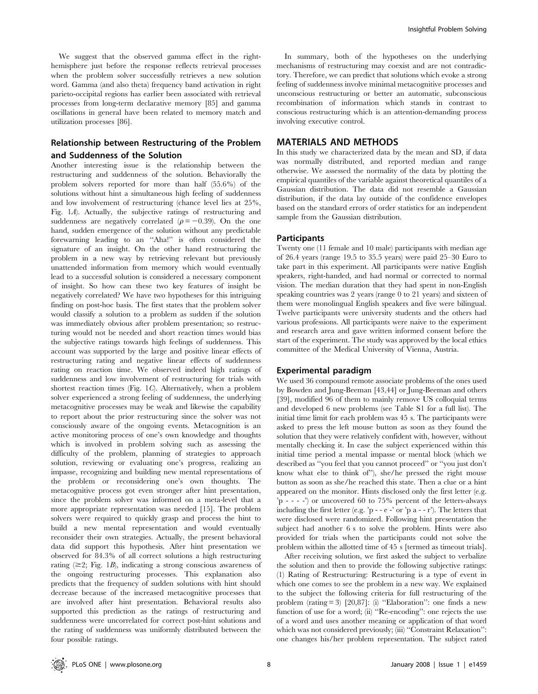We suggest that the observed gamma effect in the righthemisphere just before the response reflects retrieval processes when the problem solver successfully retrieves a new solution word. Gamma (and also theta) frequency band activation in right parieto-occipital regions has earlier been associated with retrieval processes from long-term declarative memory [85] and gamma oscillations in general have been related to memory match and utilization processes [86].

# Relationship between Restructuring of the Problem and Suddenness of the Solution

Another interesting issue is the relationship between the restructuring and suddenness of the solution. Behaviorally the problem solvers reported for more than half (55.6%) of the solutions without hint a simultaneous high feeling of suddenness and low involvement of restructuring (chance level lies at 25%, Fig. 1A). Actually, the subjective ratings of restructuring and suddenness are negatively correlated ( $\rho = -0.39$ ). On the one hand, sudden emergence of the solution without any predictable forewarning leading to an ''Aha!'' is often considered the signature of an insight. On the other hand restructuring the problem in a new way by retrieving relevant but previously unattended information from memory which would eventually lead to a successful solution is considered a necessary component of insight. So how can these two key features of insight be negatively correlated? We have two hypotheses for this intriguing finding on post-hoc basis. The first states that the problem solver would classify a solution to a problem as sudden if the solution was immediately obvious after problem presentation; so restructuring would not be needed and short reaction times would bias the subjective ratings towards high feelings of suddenness. This account was supported by the large and positive linear effects of restructuring rating and negative linear effects of suddenness rating on reaction time. We observed indeed high ratings of suddenness and low involvement of restructuring for trials with shortest reaction times (Fig. 1C). Alternatively, when a problem solver experienced a strong feeling of suddenness, the underlying metacognitive processes may be weak and likewise the capability to report about the prior restructuring since the solver was not consciously aware of the ongoing events. Metacognition is an active monitoring process of one's own knowledge and thoughts which is involved in problem solving such as assessing the difficulty of the problem, planning of strategies to approach solution, reviewing or evaluating one's progress, realizing an impasse, recognizing and building new mental representations of the problem or reconsidering one's own thoughts. The metacognitive process got even stronger after hint presentation, since the problem solver was informed on a meta-level that a more appropriate representation was needed [15]. The problem solvers were required to quickly grasp and process the hint to build a new mental representation and would eventually reconsider their own strategies. Actually, the present behavioral data did support this hypothesis. After hint presentation we observed for 84.3% of all correct solutions a high restructuring rating  $(\geq 2;$  Fig. 1*B*), indicating a strong conscious awareness of the ongoing restructuring processes. This explanation also predicts that the frequency of sudden solutions with hint should decrease because of the increased metacognitive processes that are involved after hint presentation. Behavioral results also supported this prediction as the ratings of restructuring and suddenness were uncorrelated for correct post-hint solutions and the rating of suddenness was uniformly distributed between the four possible ratings.

In summary, both of the hypotheses on the underlying mechanisms of restructuring may coexist and are not contradictory. Therefore, we can predict that solutions which evoke a strong feeling of suddenness involve minimal metacognitive processes and unconscious restructuring or better an automatic, subconscious recombination of information which stands in contrast to conscious restructuring which is an attention-demanding process involving executive control.

## MATERIALS AND METHODS

In this study we characterized data by the mean and SD, if data was normally distributed, and reported median and range otherwise. We assessed the normality of the data by plotting the empirical quantiles of the variable against theoretical quantiles of a Gaussian distribution. The data did not resemble a Gaussian distribution, if the data lay outside of the confidence envelopes based on the standard errors of order statistics for an independent sample from the Gaussian distribution.

## **Participants**

Twenty one (11 female and 10 male) participants with median age of 26.4 years (range 19.5 to 35.5 years) were paid 25–30 Euro to take part in this experiment. All participants were native English speakers, right-handed, and had normal or corrected to normal vision. The median duration that they had spent in non-English speaking countries was 2 years (range 0 to 21 years) and sixteen of them were monolingual English speakers and five were bilingual. Twelve participants were university students and the others had various professions. All participants were naive to the experiment and research area and gave written informed consent before the start of the experiment. The study was approved by the local ethics committee of the Medical University of Vienna, Austria.

#### Experimental paradigm

We used 36 compound remote associate problems of the ones used by Bowden and Jung-Beeman [43,44] or Jung-Beeman and others [39], modified 96 of them to mainly remove US colloquial terms and developed 6 new problems (see Table S1 for a full list). The initial time limit for each problem was 45 s. The participants were asked to press the left mouse button as soon as they found the solution that they were relatively confident with, however, without mentally checking it. In case the subject experienced within this initial time period a mental impasse or mental block (which we described as ''you feel that you cannot proceed'' or ''you just don't know what else to think of''), she/he pressed the right mouse button as soon as she/he reached this state. Then a clue or a hint appeared on the monitor. Hints disclosed only the first letter (e.g. 'p - - - -') or uncovered 60 to 75% percent of the letters-always including the first letter (e.g. 'p - - e -' or 'p a - - r'). The letters that were disclosed were randomized. Following hint presentation the subject had another 6 s to solve the problem. Hints were also provided for trials when the participants could not solve the problem within the allotted time of 45 s [termed as timeout trials].

After receiving solution, we first asked the subject to verbalize the solution and then to provide the following subjective ratings: (1) Rating of Restructuring: Restructuring is a type of event in which one comes to see the problem in a new way. We explained to the subject the following criteria for full restructuring of the problem (rating = 3) [20,87]: (i) ''Elaboration'': one finds a new function of use for a word; (ii) ''Re-encoding'': one rejects the use of a word and uses another meaning or application of that word which was not considered previously; (iii) "Constraint Relaxation": one changes his/her problem representation. The subject rated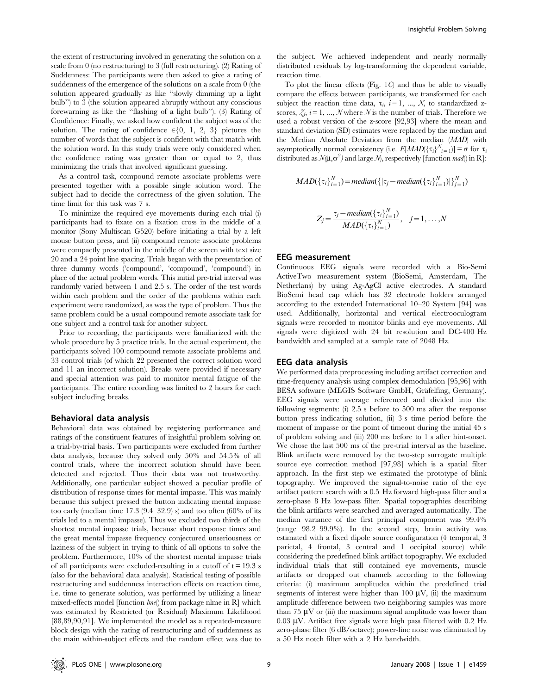the extent of restructuring involved in generating the solution on a scale from 0 (no restructuring) to 3 (full restructuring). (2) Rating of Suddenness: The participants were then asked to give a rating of suddenness of the emergence of the solutions on a scale from 0 (the solution appeared gradually as like ''slowly dimming up a light bulb'') to 3 (the solution appeared abruptly without any conscious forewarning as like the ''flashing of a light bulb''). (3) Rating of Confidence: Finally, we asked how confident the subject was of the solution. The rating of confidence  $\in \{0, 1, 2, 3\}$  pictures the number of words that the subject is confident with that match with the solution word. In this study trials were only considered when the confidence rating was greater than or equal to 2, thus minimizing the trials that involved significant guessing.

As a control task, compound remote associate problems were presented together with a possible single solution word. The subject had to decide the correctness of the given solution. The time limit for this task was 7 s.

To minimize the required eye movements during each trial (i) participants had to fixate on a fixation cross in the middle of a monitor (Sony Multiscan G520) before initiating a trial by a left mouse button press, and (ii) compound remote associate problems were compactly presented in the middle of the screen with text size 20 and a 24 point line spacing. Trials began with the presentation of three dummy words ('compound', 'compound', 'compound') in place of the actual problem words. This initial pre-trial interval was randomly varied between 1 and 2.5 s. The order of the test words within each problem and the order of the problems within each experiment were randomized, as was the type of problem. Thus the same problem could be a usual compound remote associate task for one subject and a control task for another subject.

Prior to recording, the participants were familiarized with the whole procedure by 5 practice trials. In the actual experiment, the participants solved 100 compound remote associate problems and 33 control trials (of which 22 presented the correct solution word and 11 an incorrect solution). Breaks were provided if necessary and special attention was paid to monitor mental fatigue of the participants. The entire recording was limited to 2 hours for each subject including breaks.

#### Behavioral data analysis

Behavioral data was obtained by registering performance and ratings of the constituent features of insightful problem solving on a trial-by-trial basis. Two participants were excluded from further data analysis, because they solved only 50% and 54.5% of all control trials, where the incorrect solution should have been detected and rejected. Thus their data was not trustworthy. Additionally, one particular subject showed a peculiar profile of distribution of response times for mental impasse. This was mainly because this subject pressed the button indicating mental impasse too early (median time 17.3 (9.4–32.9) s) and too often (60% of its trials led to a mental impasse). Thus we excluded two thirds of the shortest mental impasse trials, because short response times and the great mental impasse frequency conjectured unseriousness or laziness of the subject in trying to think of all options to solve the problem. Furthermore, 10% of the shortest mental impasse trials of all participants were excluded-resulting in a cutoff of  $t = 19.3$  s (also for the behavioral data analysis). Statistical testing of possible restructuring and suddenness interaction effects on reaction time, i.e. time to generate solution, was performed by utilizing a linear mixed-effects model [function  $\ell m e$ ] from package nlme in R] which was estimated by Restricted (or Residual) Maximum Likelihood [88,89,90,91]. We implemented the model as a repeated-measure block design with the rating of restructuring and of suddenness as the main within-subject effects and the random effect was due to the subject. We achieved independent and nearly normally distributed residuals by log-transforming the dependent variable, reaction time.

To plot the linear effects (Fig.  $1C$ ) and thus be able to visually compare the effects between participants, we transformed for each subject the reaction time data,  $\tau_i$ ,  $i=1, ..., N$ , to standardized zscores,  $\zeta_i$ ,  $i = 1, ..., N$  where N is the number of trials. Therefore we used a robust version of the z-score [92,93] where the mean and standard deviation (SD) estimates were replaced by the median and the Median Absolute Deviation from the median (MAD) with asymptotically normal consistency (i.e.  $E[ MAD({\tau_i}_{i}^{N_i}_{i=1})] = \sigma$  for  $\tau_i$ distributed as  $\mathcal{N}(\mu,\sigma^2)$  and large  $\mathcal{N}$ , respectively [function mad() in R]:

$$
MAD(\{\tau_i\}_{i=1}^N) = median(\{|\tau_j - median(\{\tau_i\}_{i=1}^N)|\}_{j=1}^N)
$$

$$
Z_j = \frac{\tau_j - \text{median}(\{\tau_i\}_{i=1}^N)}{MAD(\{\tau_i\}_{i=1}^N)}, \quad j = 1, \ldots, N
$$

#### EEG measurement

Continuous EEG signals were recorded with a Bio-Semi ActiveTwo measurement system (BioSemi, Amsterdam, The Netherlans) by using Ag-AgCl active electrodes. A standard BioSemi head cap which has 32 electrode holders arranged according to the extended International 10–20 System [94] was used. Additionally, horizontal and vertical electrooculogram signals were recorded to monitor blinks and eye movements. All signals were digitized with 24 bit resolution and DC-400 Hz bandwidth and sampled at a sample rate of 2048 Hz.

#### EEG data analysis

We performed data preprocessing including artifact correction and time-frequency analysis using complex demodulation [95,96] with BESA software (MEGIS Software GmbH, Gräfelfing, Germany). EEG signals were average referenced and divided into the following segments: (i) 2.5 s before to 500 ms after the response button press indicating solution, (ii) 3 s time period before the moment of impasse or the point of timeout during the initial 45 s of problem solving and (iii) 200 ms before to 1 s after hint-onset. We chose the last 500 ms of the pre-trial interval as the baseline. Blink artifacts were removed by the two-step surrogate multiple source eye correction method [97,98] which is a spatial filter approach. In the first step we estimated the prototype of blink topography. We improved the signal-to-noise ratio of the eye artifact pattern search with a 0.5 Hz forward high-pass filter and a zero-phase 8 Hz low-pass filter. Spatial topographies describing the blink artifacts were searched and averaged automatically. The median variance of the first principal component was 99.4% (range 98.2–99.9%). In the second step, brain activity was estimated with a fixed dipole source configuration (4 temporal, 3 parietal, 4 frontal, 3 central and 1 occipital source) while considering the predefined blink artifact topography. We excluded individual trials that still contained eye movements, muscle artifacts or dropped out channels according to the following criteria: (i) maximum amplitudes within the predefined trial segments of interest were higher than 100  $\mu$ V, (ii) the maximum amplitude difference between two neighboring samples was more than 75  $\mu$ V or (iii) the maximum signal amplitude was lower than  $0.03 \mu$ V. Artifact free signals were high pass filtered with 0.2 Hz zero-phase filter (6 dB/octave); power-line noise was eliminated by a 50 Hz notch filter with a 2 Hz bandwidth.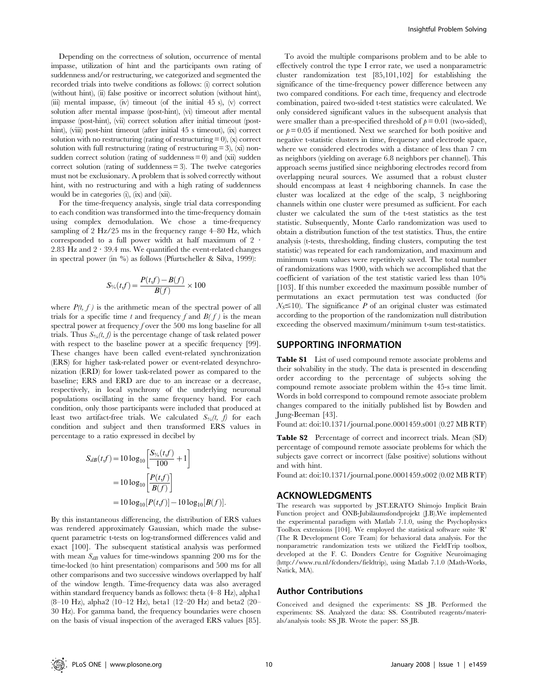Depending on the correctness of solution, occurrence of mental impasse, utilization of hint and the participants own rating of suddenness and/or restructuring, we categorized and segmented the recorded trials into twelve conditions as follows: (i) correct solution (without hint), (ii) false positive or incorrect solution (without hint), (iii) mental impasse, (iv) timeout (of the initial  $45 \text{ s}$ ), (v) correct solution after mental impasse (post-hint), (vi) timeout after mental impasse (post-hint), (vii) correct solution after initial timeout (posthint), (viii) post-hint timeout (after initial 45 s timeout), (ix) correct solution with no restructuring (rating of restructuring  $= 0$ ), (x) correct solution with full restructuring (rating of restructuring  $= 3$ ), (xi) nonsudden correct solution (rating of suddenness  $= 0$ ) and (xii) sudden correct solution (rating of suddenness = 3). The twelve categories must not be exclusionary. A problem that is solved correctly without hint, with no restructuring and with a high rating of suddenness would be in categories (i), (ix) and (xii).

For the time-frequency analysis, single trial data corresponding to each condition was transformed into the time-frequency domain using complex demodulation. We chose a time-frequency sampling of 2 Hz/25 ms in the frequency range 4–80 Hz, which corresponded to a full power width at half maximum of  $2$   $\cdot$ 2.83 Hz and  $2 \cdot 39.4$  ms. We quantified the event-related changes in spectral power (in %) as follows (Pfurtscheller & Silva, 1999):

$$
S_{\%}(t\textbf{,}f)=\frac{P(t\textbf{,}f)-B(\textbf{,}f)}{B(\textbf{,}f)}\times100
$$

where  $P(t, f)$  is the arithmetic mean of the spectral power of all trials for a specific time t and frequency f and  $B(f)$  is the mean spectral power at frequency  $f$  over the 500 ms long baseline for all trials. Thus  $S_{\%}(t, f)$  is the percentage change of task related power with respect to the baseline power at a specific frequency [99]. These changes have been called event-related synchronization (ERS) for higher task-related power or event-related desynchronization (ERD) for lower task-related power as compared to the baseline; ERS and ERD are due to an increase or a decrease, respectively, in local synchrony of the underlying neuronal populations oscillating in the same frequency band. For each condition, only those participants were included that produced at least two artifact-free trials. We calculated  $S_{\%}(t, f)$  for each condition and subject and then transformed ERS values in percentage to a ratio expressed in decibel by

$$
S_{dB}(t,f) = 10 \log_{10} \left[ \frac{S_{\%}(t,f)}{100} + 1 \right]
$$
  
=  $10 \log_{10} \left[ \frac{P(t,f)}{B(f)} \right]$   
=  $10 \log_{10} [P(t,f)] - 10 \log_{10} [B(f)].$ 

By this instantaneous differencing, the distribution of ERS values was rendered approximately Gaussian, which made the subsequent parametric t-tests on log-transformed differences valid and exact [100]. The subsequent statistical analysis was performed with mean  $S_{dB}$  values for time-windows spanning 200 ms for the time-locked (to hint presentation) comparisons and 500 ms for all other comparisons and two successive windows overlapped by half of the window length. Time-frequency data was also averaged within standard frequency bands as follows: theta (4–8 Hz), alpha1 (8–10 Hz), alpha2 (10–12 Hz), beta1 (12–20 Hz) and beta2 (20– 30 Hz). For gamma band, the frequency boundaries were chosen on the basis of visual inspection of the averaged ERS values [85].

To avoid the multiple comparisons problem and to be able to effectively control the type I error rate, we used a nonparametric cluster randomization test [85,101,102] for establishing the significance of the time-frequency power difference between any two compared conditions. For each time, frequency and electrode combination, paired two-sided t-test statistics were calculated. We only considered significant values in the subsequent analysis that were smaller than a pre-specified threshold of  $p = 0.01$  (two-sided), or  $p = 0.05$  if mentioned. Next we searched for both positive and negative t-statistic clusters in time, frequency and electrode space, where we considered electrodes with a distance of less than 7 cm as neighbors (yielding on average 6.8 neighbors per channel). This approach seems justified since neighboring electrodes record from overlapping neural sources. We assumed that a robust cluster should encompass at least 4 neighboring channels. In case the cluster was localized at the edge of the scalp, 3 neighboring channels within one cluster were presumed as sufficient. For each cluster we calculated the sum of the t-test statistics as the test statistic. Subsequently, Monte Carlo randomization was used to obtain a distribution function of the test statistics. Thus, the entire analysis (t-tests, thresholding, finding clusters, computing the test statistic) was repeated for each randomization, and maximum and minimum t-sum values were repetitively saved. The total number of randomizations was 1900, with which we accomplished that the coefficient of variation of the test statistic varied less than 10% [103]. If this number exceeded the maximum possible number of permutations an exact permutation test was conducted (for  $N<sub>S</sub> \le 10$ ). The significance P of an original cluster was estimated according to the proportion of the randomization null distribution exceeding the observed maximum/minimum t-sum test-statistics.

## SUPPORTING INFORMATION

Table S1 List of used compound remote associate problems and their solvability in the study. The data is presented in descending order according to the percentage of subjects solving the compound remote associate problem within the 45-s time limit. Words in bold correspond to compound remote associate problem changes compared to the initially published list by Bowden and Jung-Beeman [43].

Found at: doi:10.1371/journal.pone.0001459.s001 (0.27 MB RTF)

Table S2 Percentage of correct and incorrect trials. Mean (SD) percentage of compound remote associate problems for which the subjects gave correct or incorrect (false positive) solutions without and with hint.

Found at: doi:10.1371/journal.pone.0001459.s002 (0.02 MB RTF)

# ACKNOWLEDGMENTS

The research was supported by JST.ERATO Shimojo Implicit Brain Function project and ÖNB-Jubilaumsfondprojekt (J.B).We implemented the experimental paradigm with Matlab 7.1.0, using the Psychophysics Toolbox extensions [104]. We employed the statistical software suite 'R' (The R Development Core Team) for behavioral data analysis. For the nonparametric randomization tests we utilized the FieldTrip toolbox, developed at the F. C. Donders Centre for Cognitive Neuroimaging (http://www.ru.nl/fcdonders/fieldtrip), using Matlab 7.1.0 (Math-Works, Natick, MA).

## Author Contributions

Conceived and designed the experiments: SS JB. Performed the experiments: SS. Analyzed the data: SS. Contributed reagents/materials/analysis tools: SS JB. Wrote the paper: SS JB.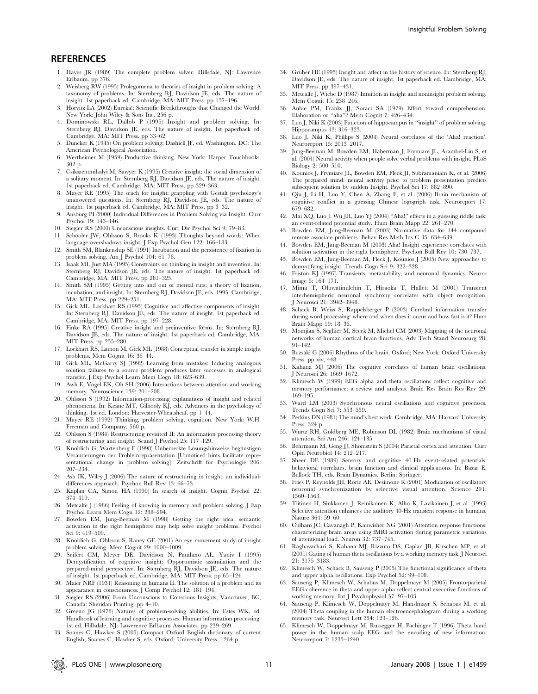# **REFERENCES**

- 1. Hayes JR (1989) The complete problem solver. Hillsdale, NJ: Lawrence Erlbaum. pp 376.
- 2. Weisberg RW (1995) Prolegomena to theories of insight in problem solving: A taxonomy of problems. In: Sternberg RJ, Davidson JE, eds. The nature of insight. 1st paperback ed. Cambridge, MA: MIT Press. pp 157–196.
- 3. Horvitz LA (2002) Eureka!: Scientific Breakthroughs that Changed the World. New York: John Wiley & Sons Inc. 256 p.
- 4. Dominowski RL, Dallob P (1995) Insight and problem solving. In: Sternberg RJ, Davidson JE, eds. The nature of insight. 1st paperback ed. Cambridge, MA: MIT Press. pp 33–62.
- 5. Duncker K (1945) On problem solving; Dashiell JF, ed. Washington, DC: The American Psychological Association.
- 6. Wertheimer M (1959) Productive thinking. New York: Harper Touchbooks. 302 p.
- 7. Csikszentmihalyi M, Sawyer K (1995) Creative insight: the social dimension of a solitary moment. In: Sternberg RJ, Davidson JE, eds. The nature of insight. 1st paperback ed. Cambridge, MA: MIT Press. pp 329–363.
- 8. Mayer RE (1995) The seach for insight: grappling with Gestalt psychology's unanswered questions. In: Sternberg RJ, Davidson JE, eds. The nature of insight. 1st paperback ed. Cambridge, MA: MIT Press. pp 3–32.
- 9. Ansburg PI (2000) Individual Differences in Problem Solving via Insight. Curr Psychol 19: 143–146.
- 10. Siegler RS (2000) Unconscious insights. Curr Dir Psychol Sci 9: 79–83.
- 11. Schooler JW, Ohlsson S, Brooks K (1993) Thoughts beyond words: When language overshadows insight. J Exp Psychol Gen 122: 166–183.
- 12. Smith SM, Blankenship SE (1991) Incubation and the persistence of fixation in problem solving. Am J Psychol 104: 61–78.
- 13. Isaak MI, Just MA (1995) Constraints on thinking in insight and invention. In: Sternberg RJ, Davidson JE, eds. The nature of insight. 1st paperback ed. Cambridge, MA: MIT Press. pp 281–325.
- 14. Smith SM (1995) Getting into and out of mental ruts: a theory of fixation, incubation, and insight. In: Sternberg RJ, Davidson JE, eds. 1995. Cambridge, MA: MIT Press. pp 229–251.
- 15. Gick ML, Lockhart RS (1995) Cognitive and affective components of insight. In: Sternberg RJ, Davidson JE, eds. The nature of insight. 1st paperback ed. Cambridge, MA: MIT Press. pp 197–228.
- 16. Finke RA (1995) Creative insight and preinventive forms. In: Sternberg RJ, Davidson JE, eds. The nature of insight. 1st paperback ed. Cambridge, MA: MIT Press. pp 255–280.
- 17. Lockhart RS, Lamon M, Gick ML (1988) Conceptual transfer in simple insight problems. Mem Cognit 16: 36–44.
- 18. Gick ML, McGarry SJ (1992) Learning from mistakes: Inducing analogous solution failures to a source problem produces later successes in analogical transfer. J Exp Psychol Learn Mem Cogn 18: 623–639.
- 19. Awh E, Vogel EK, Oh SH (2006) Interactions between attention and working memory. Neuroscience 139: 201–208.
- 20. Ohlsson S (1992) Information-processing explanations of insight and related phenomena. In: Keane MT, Gilhooly KJ, eds. Advances in the psychology of thinking. 1st ed. London: Harvester-Wheatsheaf. pp 1–44.
- 21. Mayer RE (1992) Thinking, problem solving, cognition. New York: W.H. Freeman and Company. 560 p.
- 22. Ohlsson S (1984) Restructuring revisited II: An information processing theory of restructuring and insight. Scand J Psychol 25: 117–129.
- Knoblich G, Wartenberg F (1998) Unbemerkte Lösungshinweise begünstigen Veränderungen der Problemrepräsentation [Unnoticed hints facilitate representational change in problem solving]. Zeitschrift für Psychologie 206: 207–234.
- 24. Ash IK, Wiley J (2006) The nature of restructuring in insight: an individualdifferences approach. Psychon Bull Rev 13: 66–73.
- 25. Kaplan CA, Simon HA (1990) In search of insight. Cognit Psychol 22: 374–419.
- 26. Metcalfe J (1986) Feeling of knowing in memory and problem solving. J Exp Psychol Learn Mem Cogn 12: 288–294.
- 27. Bowden EM, Jung-Beeman M (1998) Getting the right idea: semantic activation in the right hemisphere may help solve insight problems. Psychol Sci 9: 419–509.
- 28. Knoblich G, Ohlsson S, Raney GE (2001) An eye movement study of insight problem solving. Mem Cognit 29: 1000–1009.
- 29. Seifert CM, Meyer DE, Davidson N, Patalano AL, Yaniv I (1995) Demystification of cognitive insight: Opportunistic assimilation and the prepared-mind perspective. In: Sternberg RJ, Davidson JE, eds. The nature of insight. 1st paperback ed. Cambridge, MA: MIT Press. pp 65–124.
- 30. Maier NRF (1931) Reasoning in humans II. The solution of a problem and its appearance in consciousness. J Comp Psychol 12: 181–194.
- 31. Siegler RS (2006) From Unconscious to Conscious Insights; Vancouver, BC, Canada: Sheridan Printing. pp 4–10.
- 32. Greeno JG (1978) Natures of problem-solving abilities. In: Estes WK, ed. Handbook of learning and cognitive processes: Human information processing. 1st ed. Hillsdale, NJ: Lawerence Erlbaum Associates. pp 239–269.
- 33. Soanes C, Hawker S (2005) Compact Oxford English dictionary of current English; Soanes C, Hawker S, eds. Oxford: University Press. 1264 p.
- 34. Gruber HE (1995) Insight and affect in the history of science. In: Sternberg RJ, Davidson JE, eds. The nature of insight. 1st paperback ed. Cambridge, MA: MIT Press. pp 397–431.
- 35. Metcalfe J, Wiebe D (1987) Intuition in insight and noninsight problem solving. Mem Cognit 15: 238–246.
- 36. Auble PM, Franks JJ, Soraci SA (1979) Effort toward comprehension: Elaboration or ''aha''? Mem Cognit 7: 426–434.
- 37. Luo J, Niki K (2003) Function of hippocampus in ''insight'' of problem solving. Hippocampus 13: 316–323.
- 38. Luo J, Niki K, Phillips S (2004) Neural correlates of the 'Aha! reaction'. Neuroreport 15: 2013–2017.
- 39. Jung-Beeman M, Bowden EM, Haberman J, Frymiare JL, Arambel-Liu S, et al. (2004) Neural activity when people solve verbal problems with insight. PLoS Biology 2: 500–510.
- 40. Kounios J, Frymiare JL, Bowden EM, Fleck JI, Subramaniam K, et al. (2006) The prepared mind: neural activity prior to problem presentation predicts subsequent solution by sudden Insight. Psychol Sci 17: 882–890.
- 41. Qiu J, Li H, Luo Y, Chen A, Zhang F, et al. (2006) Brain mechanism of cognitive conflict in a guessing Chinese logogriph task. Neuroreport 17: 679–682.
- 42. Mai XQ, Luo J, Wu JH, Luo YJ (2004) ''Aha!'' effects in a guessing riddle task: an event-related potential study. Hum Brain Mapp 22: 261–270.
- 43. Bowden EM, Jung-Beeman M (2003) Normative data for 144 compound remote associate problems. Behav Res Meth Ins C 35: 634–639.
- Bowden EM, Jung-Beeman M (2003) Aha! Insight experience correlates with solution activation in the right hemisphere. Psychon Bull Rev 10: 730–737.
- 45. Bowden EM, Jung-Beeman M, Fleck J, Kounios J (2005) New approaches to demystifying insight. Trends Cogn Sci 9: 322–328.
- 46. Friston KJ (1997) Transients, metastability, and neuronal dynamics. Neuroimage 5: 164–171.
- 47. Mima T, Oluwatimilehin T, Hiraoka T, Hallett M (2001) Transient interhemispheric neuronal synchrony correlates with object recognition. J Neurosci 21: 3942–3948.
- Schack B, Weiss S, Rappelsberger P (2003) Cerebral information transfer during word processing: where and when does it occur and how fast is it? Hum Brain Mapp 19: 18–36.
- 49. Momjian S, Seghier M, Seeck M, Michel CM (2003) Mapping of the neuronal networks of human cortical brain functions. Adv Tech Stand Neurosurg 28: 91–142.
- 50. Buzsáki G (2006) Rhythms of the brain. Oxford; New York: Oxford University Press. pp xiv, 448.
- 51. Kahana MJ (2006) The cognitive correlates of human brain oscillations. J Neurosci 26: 1669–1672.
- 52. Klimesch W (1999) EEG alpha and theta oscillations reflect cognitive and memory performance: a review and analysis. Brain Res Brain Res Rev 29: 169–195.
- 53. Ward LM (2003) Synchronous neural oscillations and cognitive processes. Trends Cogn Sci 7: 553–559.
- 54. Perkins DN (1981) The mind's best work. Cambridge, MA: Harvard University Press. 324 p.
- 55. Wurtz RH, Goldberg ME, Robinson DL (1982) Brain mechanisms of visual attention. Sci Am 246: 124–135.
- 56. Behrmann M, Geng JJ, Shomstein S (2004) Parietal cortex and attention. Curr Opin Neurobiol 14: 212–217.
- 57. Sheer DE (1989) Sensory and cognitive 40 Hz event-related potentials: behavioral correlates, brain function and clinical applications. In: Basar E, Bullock TH, eds. Brain Dynamics. Berlin: Springer.
- 58. Fries P, Reynolds JH, Rorie AE, Desimone R (2001) Modulation of oscillatory neuronal synchronization by selective visual attention. Science 291: 1560–1563.
- 59. Tiitinen H, Sinkkonen J, Reinikainen K, Alho K, Lavikainen J, et al. (1993) Selective attention enhances the auditory 40-Hz transient response in humans. Nature 364: 59–60.
- 60. Culham JC, Cavanagh P, Kanwisher NG (2001) Attention response functions: characterizing brain areas using fMRI activation during parametric variations of attentional load. Neuron 32: 737–745.
- 61. Raghavachari S, Kahana MJ, Rizzuto DS, Caplan JB, Kirschen MP, et al. (2001) Gating of human theta oscillations by a working memory task. J Neurosci 21: 3175–3183.
- 62. Klimesch W, Schack B, Sauseng P (2005) The functional significance of theta and upper alpha oscillations. Exp Psychol 52: 99–108.
- 63. Sauseng P, Klimesch W, Schabus M, Doppelmayr M (2005) Fronto-parietal EEG coherence in theta and upper alpha reflect central executive functions of working memory. Int J Psychophysiol 57: 97–103.
- 64. Sauseng P, Klimesch W, Doppelmayr M, Hanslmayr S, Schabus M, et al. (2004) Theta coupling in the human electroencephalogram during a working memory task. Neurosci Lett 354: 123–126.
- 65. Klimesch W, Doppelmayr M, Russegger H, Pachinger T (1996) Theta band power in the human scalp EEG and the encoding of new information. Neuroreport 7: 1235–1240.